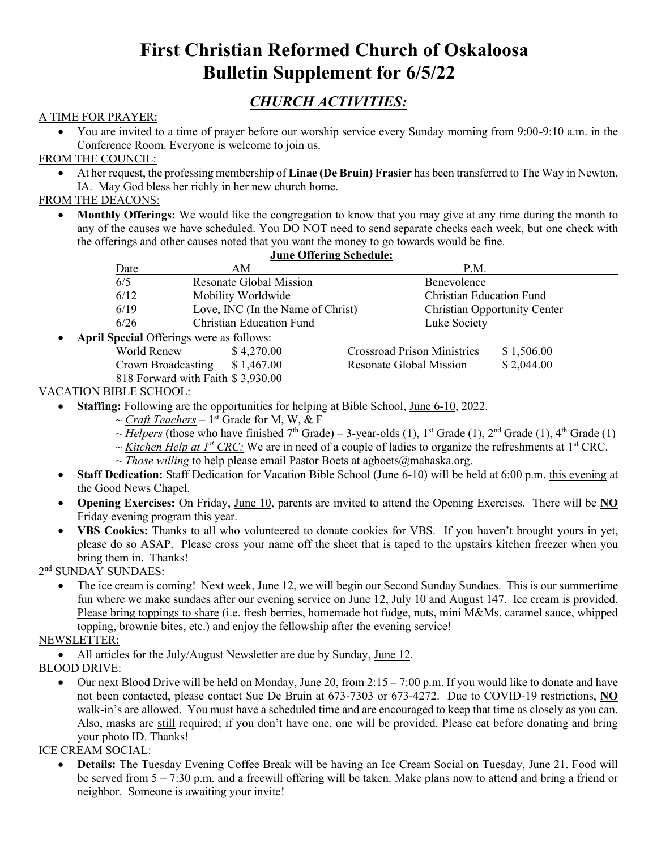# **First Christian Reformed Church of Oskaloosa Bulletin Supplement for 6/5/22**

# *CHURCH ACTIVITIES:*

### A TIME FOR PRAYER:

• You are invited to a time of prayer before our worship service every Sunday morning from 9:00-9:10 a.m. in the Conference Room. Everyone is welcome to join us.

FROM THE COUNCIL:

• At her request, the professing membership of **Linae (De Bruin) Frasier** has been transferred to The Way in Newton, IA. May God bless her richly in her new church home.

### FROM THE DEACONS:

• **Monthly Offerings:** We would like the congregation to know that you may give at any time during the month to any of the causes we have scheduled. You DO NOT need to send separate checks each week, but one check with the offerings and other causes noted that you want the money to go towards would be fine.

| <b>June Offering Schedule:</b>                  |                                   |                                 |                                    |                                     |  |  |  |
|-------------------------------------------------|-----------------------------------|---------------------------------|------------------------------------|-------------------------------------|--|--|--|
| Date                                            | AM                                |                                 | P.M.                               |                                     |  |  |  |
| 6/5                                             |                                   | <b>Resonate Global Mission</b>  |                                    | Benevolence                         |  |  |  |
| 6/12                                            | Mobility Worldwide                |                                 | <b>Christian Education Fund</b>    |                                     |  |  |  |
| 6/19                                            | Love, INC (In the Name of Christ) |                                 |                                    | <b>Christian Opportunity Center</b> |  |  |  |
| 6/26                                            |                                   | <b>Christian Education Fund</b> |                                    |                                     |  |  |  |
| <b>April Special Offerings were as follows:</b> |                                   |                                 |                                    |                                     |  |  |  |
| World Renew                                     | \$4,270.00                        |                                 | <b>Crossroad Prison Ministries</b> | \$1,506.00                          |  |  |  |
| Crown Broadcasting                              | \$1,467.00                        |                                 | Resonate Global Mission            | \$2,044.00                          |  |  |  |

#### 818 Forward with Faith \$ 3,930.00 VACATION BIBLE SCHOOL:

- **Staffing:** Following are the opportunities for helping at Bible School, June 6-10, 2022.
	- ~ *Craft Teachers* 1 st Grade for M, W, & F
	- ~ *Helpers* (those who have finished 7<sup>th</sup> Grade) 3-year-olds (1), 1<sup>st</sup> Grade (1), 2<sup>nd</sup> Grade (1), 4<sup>th</sup> Grade (1)
	- $\sim$  *Kitchen Help at 1<sup>st</sup> CRC*: We are in need of a couple of ladies to organize the refreshments at 1<sup>st</sup> CRC.
		- $\sim$  *Those willing* to help please email Pastor Boets at agboets  $\omega$  mahaska.org.
- **Staff Dedication:** Staff Dedication for Vacation Bible School (June 6-10) will be held at 6:00 p.m. this evening at the Good News Chapel.
- **Opening Exercises:** On Friday, June 10, parents are invited to attend the Opening Exercises. There will be **NO** Friday evening program this year.
- **VBS Cookies:** Thanks to all who volunteered to donate cookies for VBS. If you haven't brought yours in yet, please do so ASAP. Please cross your name off the sheet that is taped to the upstairs kitchen freezer when you bring them in. Thanks!

2<sup>nd</sup> SUNDAY SUNDAES:

• The ice cream is coming! Next week, June 12, we will begin our Second Sunday Sundaes. This is our summertime fun where we make sundaes after our evening service on June 12, July 10 and August 147. Ice cream is provided. Please bring toppings to share (i.e. fresh berries, homemade hot fudge, nuts, mini M&Ms, caramel sauce, whipped topping, brownie bites, etc.) and enjoy the fellowship after the evening service!

### NEWSLETTER:

- All articles for the July/August Newsletter are due by Sunday, June 12.
- BLOOD DRIVE:
	- Our next Blood Drive will be held on Monday, <u>June 20</u>, from 2:15 7:00 p.m. If you would like to donate and have not been contacted, please contact Sue De Bruin at 673-7303 or 673-4272. Due to COVID-19 restrictions, **NO** walk-in's are allowed. You must have a scheduled time and are encouraged to keep that time as closely as you can. Also, masks are still required; if you don't have one, one will be provided. Please eat before donating and bring your photo ID. Thanks!

#### ICE CREAM SOCIAL:

• **Details:** The Tuesday Evening Coffee Break will be having an Ice Cream Social on Tuesday, June 21. Food will be served from 5 – 7:30 p.m. and a freewill offering will be taken. Make plans now to attend and bring a friend or neighbor. Someone is awaiting your invite!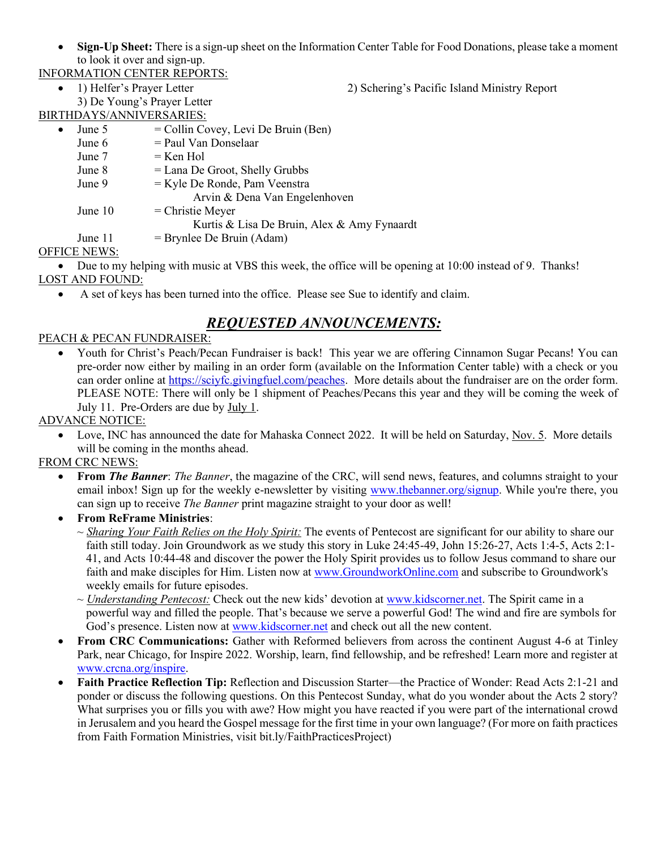• **Sign-Up Sheet:** There is a sign-up sheet on the Information Center Table for Food Donations, please take a moment to look it over and sign-up.

INFORMATION CENTER REPORTS:

• 1) Helfer's Prayer Letter 2) Schering's Pacific Island Ministry Report

3) De Young's Prayer Letter BIRTHDAYS/ANNIVERSARIES:

|           | THIDA I S/ANNI V ENSANIES. |                                             |
|-----------|----------------------------|---------------------------------------------|
| $\bullet$ | June 5                     | $=$ Collin Covey, Levi De Bruin (Ben)       |
|           | June 6                     | = Paul Van Donselaar                        |
|           | June 7                     | $=$ Ken Hol                                 |
|           | June 8                     | $=$ Lana De Groot, Shelly Grubbs            |
|           | June 9                     | $=$ Kyle De Ronde, Pam Veenstra             |
|           |                            | Arvin & Dena Van Engelenhoven               |
|           | June 10                    | $=$ Christie Meyer                          |
|           |                            | Kurtis & Lisa De Bruin, Alex & Amy Fynaardt |
|           | June 11                    | $=$ Brynlee De Bruin (Adam)                 |
|           | <b>HAE MEULO</b>           |                                             |

### OFFICE NEWS:

• Due to my helping with music at VBS this week, the office will be opening at 10:00 instead of 9. Thanks! LOST AND FOUND:

• A set of keys has been turned into the office. Please see Sue to identify and claim.

### *REQUESTED ANNOUNCEMENTS:*

### PEACH & PECAN FUNDRAISER:

• Youth for Christ's Peach/Pecan Fundraiser is back! This year we are offering Cinnamon Sugar Pecans! You can pre-order now either by mailing in an order form (available on the Information Center table) with a check or you can order online at [https://sciyfc.givingfuel.com/peaches.](http://mail.mahaska.org/cgi-bin/sqwebmail?timestamp=1653406480&md5=NZ94Zxx557tphRQcy%2Baeyw%3D%3D&redirect=https%3A%2F%2Fsciyfc.givingfuel.com%2Fpeaches) More details about the fundraiser are on the order form. PLEASE NOTE: There will only be 1 shipment of Peaches/Pecans this year and they will be coming the week of July 11. Pre-Orders are due by July 1.

### ADVANCE NOTICE:

Love, INC has announced the date for Mahaska Connect 2022. It will be held on Saturday, Nov. 5. More details will be coming in the months ahead.

### FROM CRC NEWS:

- **From** *The Banner*: *The Banner*, the magazine of the CRC, will send news, features, and columns straight to your email inbox! Sign up for the weekly e-newsletter by visiting [www.thebanner.org/signup.](http://www.thebanner.org/signup) While you're there, you can sign up to receive *The Banner* print magazine straight to your door as well!
- **From ReFrame Ministries**:
	- ~ *Sharing Your Faith Relies on the Holy Spirit:* The events of Pentecost are significant for our ability to share our faith still today. Join Groundwork as we study this story in Luke 24:45-49, John 15:26-27, Acts 1:4-5, Acts 2:1- 41, and Acts 10:44-48 and discover the power the Holy Spirit provides us to follow Jesus command to share our faith and make disciples for Him. Listen now at [www.GroundworkOnline.com](http://www.groundworkonline.com/) and subscribe to Groundwork's weekly emails for future episodes.
	- ~ *Understanding Pentecost:* Check out the new kids' devotion at [www.kidscorner.net.](http://www.kidscorner.net/) The Spirit came in a powerful way and filled the people. That's because we serve a powerful God! The wind and fire are symbols for God's presence. Listen now at [www.kidscorner.net](http://www.kidscorner.net/) and check out all the new content.
- **From CRC Communications:** Gather with Reformed believers from across the continent August 4-6 at Tinley Park, near Chicago, for Inspire 2022. Worship, learn, find fellowship, and be refreshed! Learn more and register at [www.crcna.org/inspire.](http://www.crcna.org/inspire)
- **Faith Practice Reflection Tip:** Reflection and Discussion Starter—the Practice of Wonder: Read Acts 2:1-21 and ponder or discuss the following questions. On this Pentecost Sunday, what do you wonder about the Acts 2 story? What surprises you or fills you with awe? How might you have reacted if you were part of the international crowd in Jerusalem and you heard the Gospel message for the first time in your own language? (For more on faith practices from Faith Formation Ministries, visit bit.ly/FaithPracticesProject)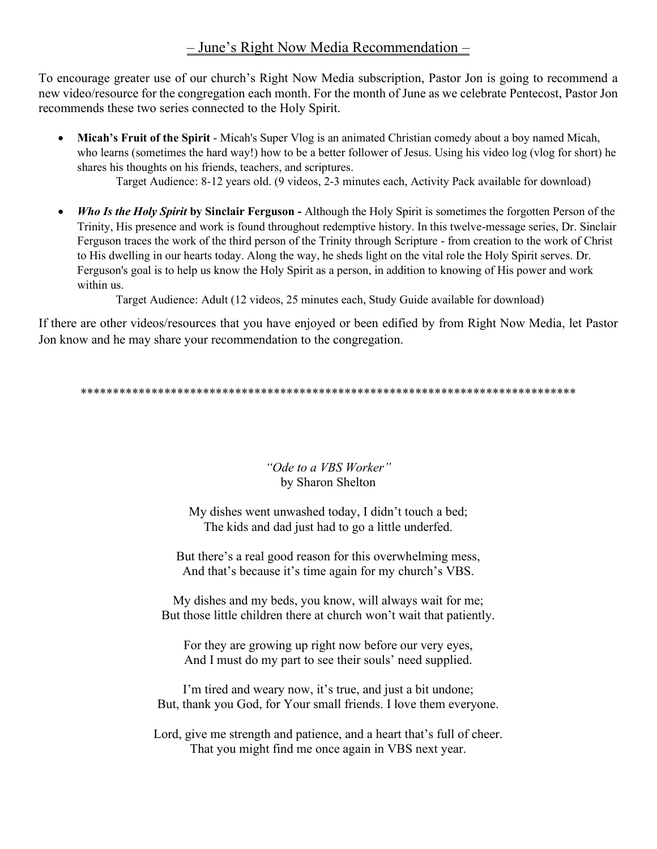## – June's Right Now Media Recommendation –

To encourage greater use of our church's Right Now Media subscription, Pastor Jon is going to recommend a new video/resource for the congregation each month. For the month of June as we celebrate Pentecost, Pastor Jon recommends these two series connected to the Holy Spirit.

- **Micah's Fruit of the Spirit** Micah's Super Vlog is an animated Christian comedy about a boy named Micah, who learns (sometimes the hard way!) how to be a better follower of Jesus. Using his video log (vlog for short) he shares his thoughts on his friends, teachers, and scriptures. Target Audience: 8-12 years old. (9 videos, 2-3 minutes each, Activity Pack available for download)
- *Who Is the Holy Spirit* **by Sinclair Ferguson -** Although the Holy Spirit is sometimes the forgotten Person of the Trinity, His presence and work is found throughout redemptive history. In this twelve-message series, Dr. Sinclair Ferguson traces the work of the third person of the Trinity through Scripture - from creation to the work of Christ to His dwelling in our hearts today. Along the way, he sheds light on the vital role the Holy Spirit serves. Dr. Ferguson's goal is to help us know the Holy Spirit as a person, in addition to knowing of His power and work within us.

Target Audience: Adult (12 videos, 25 minutes each, Study Guide available for download)

If there are other videos/resources that you have enjoyed or been edified by from Right Now Media, let Pastor Jon know and he may share your recommendation to the congregation.

\*\*\*\*\*\*\*\*\*\*\*\*\*\*\*\*\*\*\*\*\*\*\*\*\*\*\*\*\*\*\*\*\*\*\*\*\*\*\*\*\*\*\*\*\*\*\*\*\*\*\*\*\*\*\*\*\*\*\*\*\*\*\*\*\*\*\*\*\*\*\*\*\*\*\*\*\*

### *"Ode to a VBS Worker"* by Sharon Shelton

My dishes went unwashed today, I didn't touch a bed; The kids and dad just had to go a little underfed.

But there's a real good reason for this overwhelming mess, And that's because it's time again for my church's VBS.

My dishes and my beds, you know, will always wait for me; But those little children there at church won't wait that patiently.

For they are growing up right now before our very eyes, And I must do my part to see their souls' need supplied.

I'm tired and weary now, it's true, and just a bit undone; But, thank you God, for Your small friends. I love them everyone.

Lord, give me strength and patience, and a heart that's full of cheer. That you might find me once again in VBS next year.